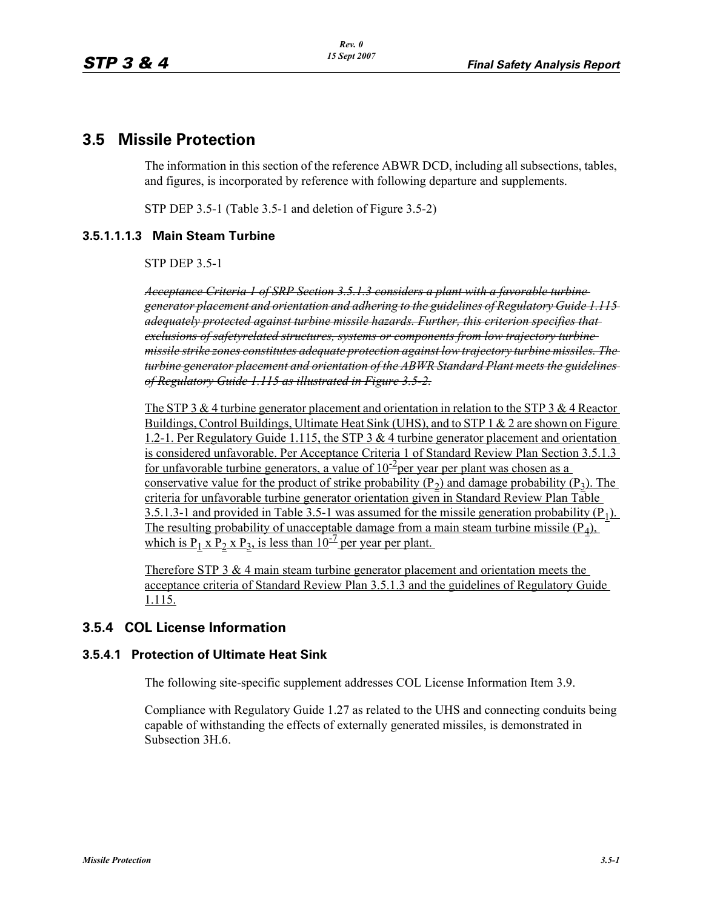# **3.5 Missile Protection**

The information in this section of the reference ABWR DCD, including all subsections, tables, and figures, is incorporated by reference with following departure and supplements.

STP DEP 3.5-1 (Table 3.5-1 and deletion of Figure 3.5-2)

### **3.5.1.1.1.3 Main Steam Turbine**

STP DEP 3.5-1

*Acceptance Criteria 1 of SRP Section 3.5.1.3 considers a plant with a favorable turbine generator placement and orientation and adhering to the guidelines of Regulatory Guide 1.115 adequately protected against turbine missile hazards. Further, this criterion specifies that exclusions of safetyrelated structures, systems or components from low trajectory turbine missile strike zones constitutes adequate protection against low trajectory turbine missiles. The turbine generator placement and orientation of the ABWR Standard Plant meets the guidelines of Regulatory Guide 1.115 as illustrated in Figure 3.5-2.*

The STP 3 & 4 turbine generator placement and orientation in relation to the STP 3 & 4 Reactor Buildings, Control Buildings, Ultimate Heat Sink (UHS), and to STP 1 & 2 are shown on Figure 1.2-1. Per Regulatory Guide 1.115, the STP 3 & 4 turbine generator placement and orientation is considered unfavorable. Per Acceptance Criteria 1 of Standard Review Plan Section 3.5.1.3 for unfavorable turbine generators, a value of  $10^{-2}$ per year per plant was chosen as a conservative value for the product of strike probability  $(P_2)$  and damage probability  $(P_3)$ . The criteria for unfavorable turbine generator orientation given in Standard Review Plan Table 3.5.1.3-1 and provided in Table 3.5-1 was assumed for the missile generation probability  $(P_1)$ . The resulting probability of unacceptable damage from a main steam turbine missile  $(P_4)$ , which is  $P_1$  x  $P_2$  x  $P_3$ , is less than 10<sup>-7</sup> per year per plant.

Therefore STP 3 & 4 main steam turbine generator placement and orientation meets the acceptance criteria of Standard Review Plan 3.5.1.3 and the guidelines of Regulatory Guide 1.115.

# **3.5.4 COL License Information**

#### **3.5.4.1 Protection of Ultimate Heat Sink**

The following site-specific supplement addresses COL License Information Item 3.9.

Compliance with Regulatory Guide 1.27 as related to the UHS and connecting conduits being capable of withstanding the effects of externally generated missiles, is demonstrated in Subsection 3H.6.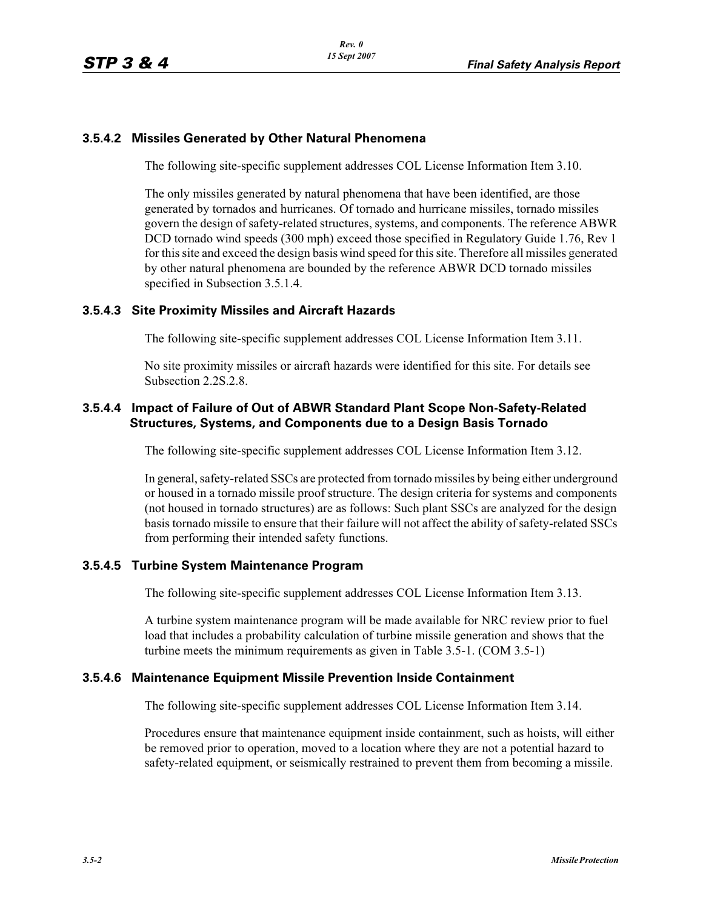#### **3.5.4.2 Missiles Generated by Other Natural Phenomena**

The following site-specific supplement addresses COL License Information Item 3.10.

The only missiles generated by natural phenomena that have been identified, are those generated by tornados and hurricanes. Of tornado and hurricane missiles, tornado missiles govern the design of safety-related structures, systems, and components. The reference ABWR DCD tornado wind speeds (300 mph) exceed those specified in Regulatory Guide 1.76, Rev 1 for this site and exceed the design basis wind speed for this site. Therefore all missiles generated by other natural phenomena are bounded by the reference ABWR DCD tornado missiles specified in Subsection 3.5.1.4.

#### **3.5.4.3 Site Proximity Missiles and Aircraft Hazards**

The following site-specific supplement addresses COL License Information Item 3.11.

No site proximity missiles or aircraft hazards were identified for this site. For details see Subsection 2.2S.2.8.

#### **3.5.4.4 Impact of Failure of Out of ABWR Standard Plant Scope Non-Safety-Related Structures, Systems, and Components due to a Design Basis Tornado**

The following site-specific supplement addresses COL License Information Item 3.12.

In general, safety-related SSCs are protected from tornado missiles by being either underground or housed in a tornado missile proof structure. The design criteria for systems and components (not housed in tornado structures) are as follows: Such plant SSCs are analyzed for the design basis tornado missile to ensure that their failure will not affect the ability of safety-related SSCs from performing their intended safety functions.

#### **3.5.4.5 Turbine System Maintenance Program**

The following site-specific supplement addresses COL License Information Item 3.13.

A turbine system maintenance program will be made available for NRC review prior to fuel load that includes a probability calculation of turbine missile generation and shows that the turbine meets the minimum requirements as given in Table 3.5-1. (COM 3.5-1)

#### **3.5.4.6 Maintenance Equipment Missile Prevention Inside Containment**

The following site-specific supplement addresses COL License Information Item 3.14.

Procedures ensure that maintenance equipment inside containment, such as hoists, will either be removed prior to operation, moved to a location where they are not a potential hazard to safety-related equipment, or seismically restrained to prevent them from becoming a missile.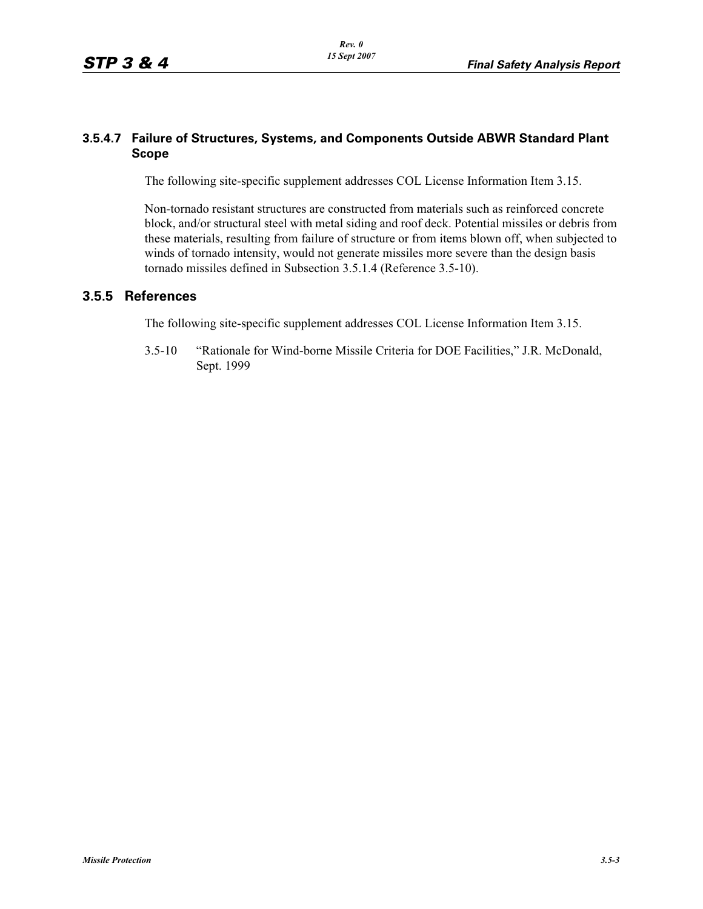#### **3.5.4.7 Failure of Structures, Systems, and Components Outside ABWR Standard Plant Scope**

The following site-specific supplement addresses COL License Information Item 3.15.

Non-tornado resistant structures are constructed from materials such as reinforced concrete block, and/or structural steel with metal siding and roof deck. Potential missiles or debris from these materials, resulting from failure of structure or from items blown off, when subjected to winds of tornado intensity, would not generate missiles more severe than the design basis tornado missiles defined in Subsection 3.5.1.4 (Reference 3.5-10).

#### **3.5.5 References**

The following site-specific supplement addresses COL License Information Item 3.15.

3.5-10 "Rationale for Wind-borne Missile Criteria for DOE Facilities," J.R. McDonald, Sept. 1999